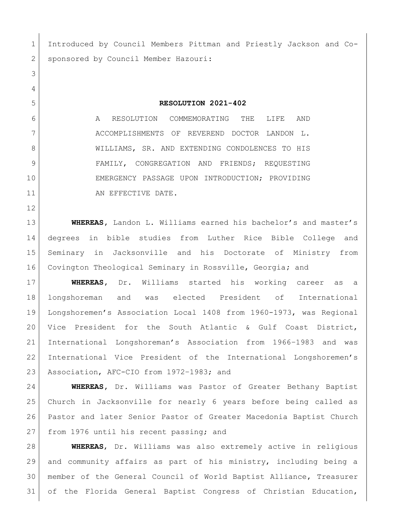Introduced by Council Members Pittman and Priestly Jackson and Co-2 | sponsored by Council Member Hazouri: **RESOLUTION 2021-402** A RESOLUTION COMMEMORATING THE LIFE AND ACCOMPLISHMENTS OF REVEREND DOCTOR LANDON L. 8 | WILLIAMS, SR. AND EXTENDING CONDOLENCES TO HIS 9 FAMILY, CONGREGATION AND FRIENDS; REQUESTING EMERGENCY PASSAGE UPON INTRODUCTION; PROVIDING 11 AN EFFECTIVE DATE. **WHEREAS,** Landon L. Williams earned his bachelor's and master's degrees in bible studies from Luther Rice Bible College and Seminary in Jacksonville and his Doctorate of Ministry from Covington Theological Seminary in Rossville, Georgia**;** and **WHEREAS,** Dr. Williams started his working career as a longshoreman and was elected President of International Longshoremen's Association Local 1408 from 1960-1973, was Regional Vice President for the South Atlantic & Gulf Coast District, International Longshoreman's Association from 1966–1983 and was International Vice President of the International Longshoremen's 23 Association, AFC-CIO from 1972-1983; and **WHEREAS,** Dr. Williams was Pastor of Greater Bethany Baptist Church in Jacksonville for nearly 6 years before being called as Pastor and later Senior Pastor of Greater Macedonia Baptist Church 27 from 1976 until his recent passing; and

 **WHEREAS**, Dr. Williams was also extremely active in religious and community affairs as part of his ministry, including being a member of the General Council of World Baptist Alliance, Treasurer of the Florida General Baptist Congress of Christian Education,